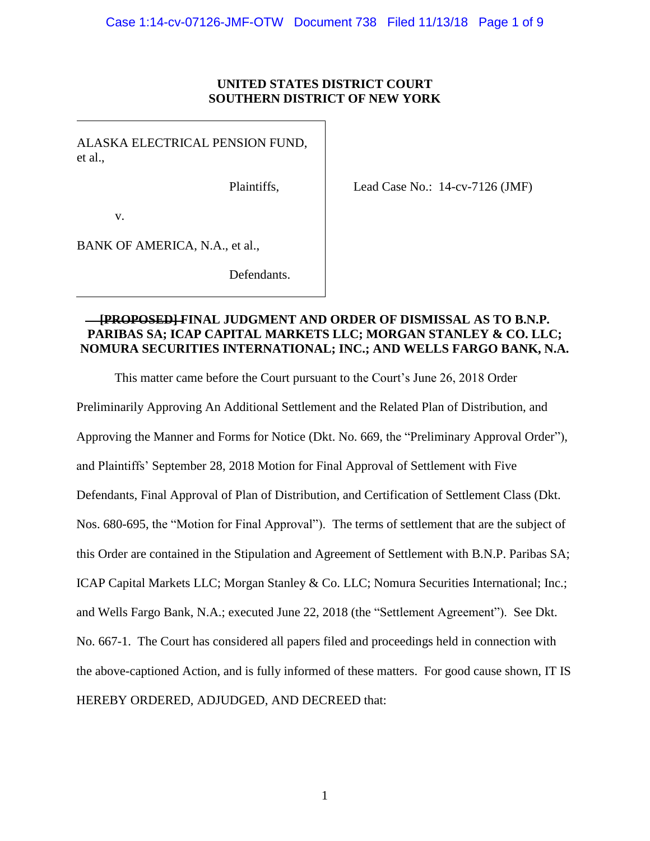## **UNITED STATES DISTRICT COURT SOUTHERN DISTRICT OF NEW YORK**

ALASKA ELECTRICAL PENSION FUND, et al.,

Plaintiffs,

Lead Case No.: 14-cv-7126 (JMF)

v.

BANK OF AMERICA, N.A., et al.,

Defendants.

## **[PROPOSED] FINAL JUDGMENT AND ORDER OF DISMISSAL AS TO B.N.P. PARIBAS SA; ICAP CAPITAL MARKETS LLC; MORGAN STANLEY & CO. LLC; NOMURA SECURITIES INTERNATIONAL; INC.; AND WELLS FARGO BANK, N.A.**

This matter came before the Court pursuant to the Court's June 26, 2018 Order

Preliminarily Approving An Additional Settlement and the Related Plan of Distribution, and Approving the Manner and Forms for Notice (Dkt. No. 669, the "Preliminary Approval Order"), and Plaintiffs' September 28, 2018 Motion for Final Approval of Settlement with Five Defendants, Final Approval of Plan of Distribution, and Certification of Settlement Class (Dkt. Nos. 680-695, the "Motion for Final Approval"). The terms of settlement that are the subject of this Order are contained in the Stipulation and Agreement of Settlement with B.N.P. Paribas SA; ICAP Capital Markets LLC; Morgan Stanley & Co. LLC; Nomura Securities International; Inc.; and Wells Fargo Bank, N.A.; executed June 22, 2018 (the "Settlement Agreement"). See Dkt. No. 667-1. The Court has considered all papers filed and proceedings held in connection with the above-captioned Action, and is fully informed of these matters. For good cause shown, IT IS HEREBY ORDERED, ADJUDGED, AND DECREED that: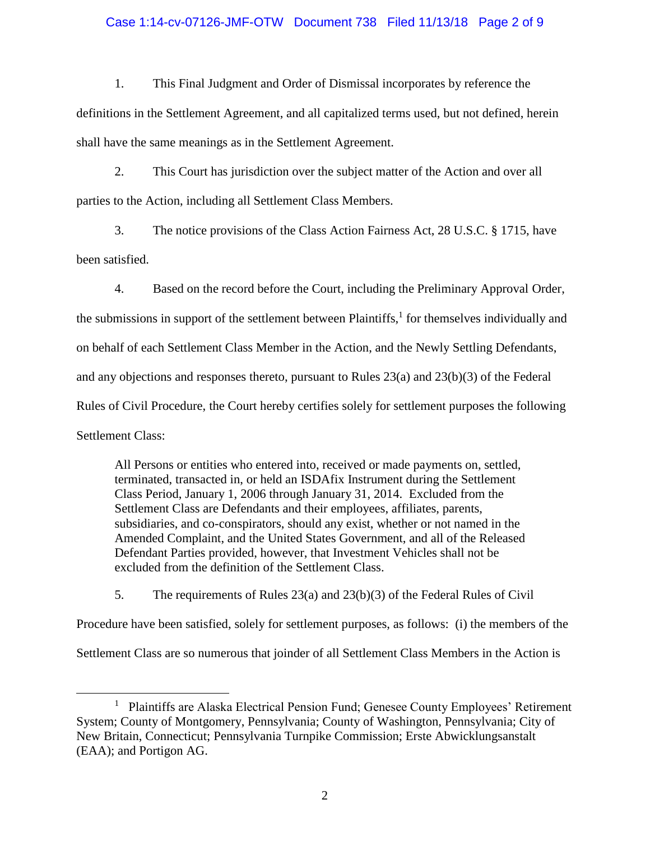## Case 1:14-cv-07126-JMF-OTW Document 738 Filed 11/13/18 Page 2 of 9

1. This Final Judgment and Order of Dismissal incorporates by reference the definitions in the Settlement Agreement, and all capitalized terms used, but not defined, herein shall have the same meanings as in the Settlement Agreement.

2. This Court has jurisdiction over the subject matter of the Action and over all parties to the Action, including all Settlement Class Members.

3. The notice provisions of the Class Action Fairness Act, 28 U.S.C. § 1715, have been satisfied.

4. Based on the record before the Court, including the Preliminary Approval Order, the submissions in support of the settlement between Plaintiffs, $<sup>1</sup>$  for themselves individually and</sup> on behalf of each Settlement Class Member in the Action, and the Newly Settling Defendants, and any objections and responses thereto, pursuant to Rules 23(a) and 23(b)(3) of the Federal Rules of Civil Procedure, the Court hereby certifies solely for settlement purposes the following Settlement Class:

All Persons or entities who entered into, received or made payments on, settled, terminated, transacted in, or held an ISDAfix Instrument during the Settlement Class Period, January 1, 2006 through January 31, 2014. Excluded from the Settlement Class are Defendants and their employees, affiliates, parents, subsidiaries, and co-conspirators, should any exist, whether or not named in the Amended Complaint, and the United States Government, and all of the Released Defendant Parties provided, however, that Investment Vehicles shall not be excluded from the definition of the Settlement Class.

5. The requirements of Rules 23(a) and 23(b)(3) of the Federal Rules of Civil

Procedure have been satisfied, solely for settlement purposes, as follows: (i) the members of the

Settlement Class are so numerous that joinder of all Settlement Class Members in the Action is

 $\overline{a}$ 

<sup>&</sup>lt;sup>1</sup> Plaintiffs are Alaska Electrical Pension Fund; Genesee County Employees' Retirement System; County of Montgomery, Pennsylvania; County of Washington, Pennsylvania; City of New Britain, Connecticut; Pennsylvania Turnpike Commission; Erste Abwicklungsanstalt (EAA); and Portigon AG.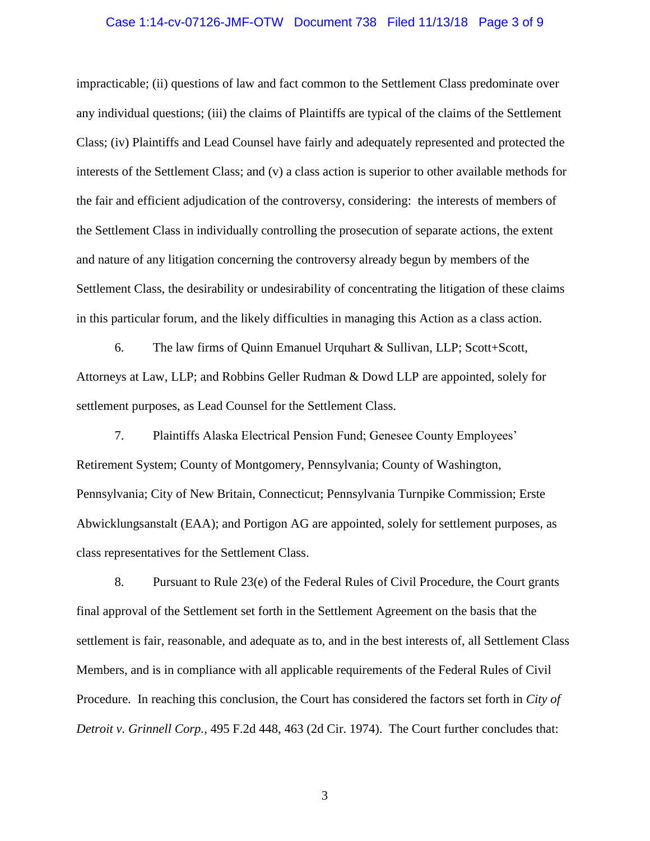#### Case 1:14-cv-07126-JMF-OTW Document 738 Filed 11/13/18 Page 3 of 9

impracticable; (ii) questions of law and fact common to the Settlement Class predominate over any individual questions; (iii) the claims of Plaintiffs are typical of the claims of the Settlement Class; (iv) Plaintiffs and Lead Counsel have fairly and adequately represented and protected the interests of the Settlement Class; and (v) a class action is superior to other available methods for the fair and efficient adjudication of the controversy, considering: the interests of members of the Settlement Class in individually controlling the prosecution of separate actions, the extent and nature of any litigation concerning the controversy already begun by members of the Settlement Class, the desirability or undesirability of concentrating the litigation of these claims in this particular forum, and the likely difficulties in managing this Action as a class action.

6. The law firms of Quinn Emanuel Urquhart & Sullivan, LLP; Scott+Scott, Attorneys at Law, LLP; and Robbins Geller Rudman & Dowd LLP are appointed, solely for settlement purposes, as Lead Counsel for the Settlement Class.

7. Plaintiffs Alaska Electrical Pension Fund; Genesee County Employees' Retirement System; County of Montgomery, Pennsylvania; County of Washington, Pennsylvania; City of New Britain, Connecticut; Pennsylvania Turnpike Commission; Erste Abwicklungsanstalt (EAA); and Portigon AG are appointed, solely for settlement purposes, as class representatives for the Settlement Class.

8. Pursuant to Rule 23(e) of the Federal Rules of Civil Procedure, the Court grants final approval of the Settlement set forth in the Settlement Agreement on the basis that the settlement is fair, reasonable, and adequate as to, and in the best interests of, all Settlement Class Members, and is in compliance with all applicable requirements of the Federal Rules of Civil Procedure. In reaching this conclusion, the Court has considered the factors set forth in *City of Detroit v. Grinnell Corp.*, 495 F.2d 448, 463 (2d Cir. 1974). The Court further concludes that: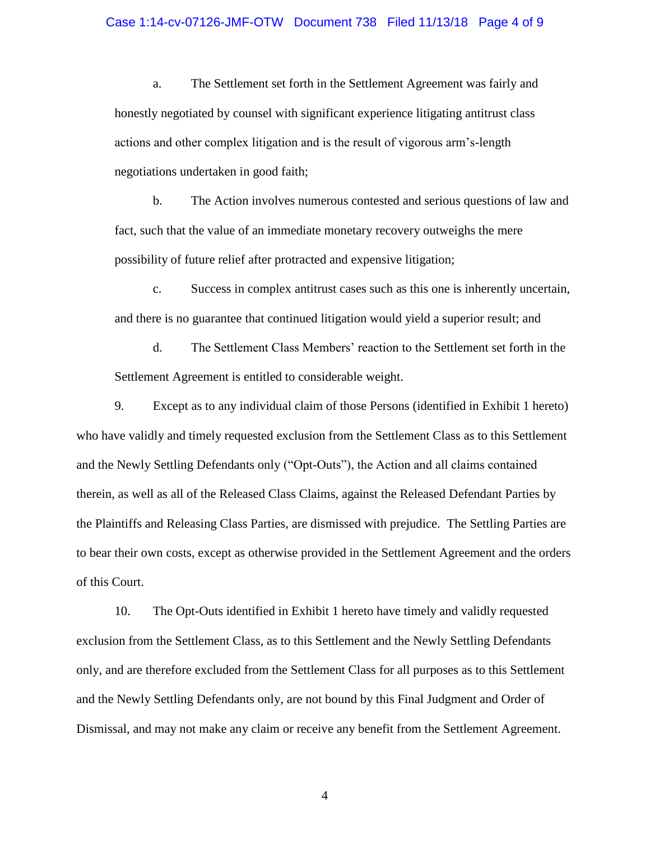#### Case 1:14-cv-07126-JMF-OTW Document 738 Filed 11/13/18 Page 4 of 9

a. The Settlement set forth in the Settlement Agreement was fairly and honestly negotiated by counsel with significant experience litigating antitrust class actions and other complex litigation and is the result of vigorous arm's-length negotiations undertaken in good faith;

b. The Action involves numerous contested and serious questions of law and fact, such that the value of an immediate monetary recovery outweighs the mere possibility of future relief after protracted and expensive litigation;

c. Success in complex antitrust cases such as this one is inherently uncertain, and there is no guarantee that continued litigation would yield a superior result; and

d. The Settlement Class Members' reaction to the Settlement set forth in the Settlement Agreement is entitled to considerable weight.

9. Except as to any individual claim of those Persons (identified in Exhibit 1 hereto) who have validly and timely requested exclusion from the Settlement Class as to this Settlement and the Newly Settling Defendants only ("Opt-Outs"), the Action and all claims contained therein, as well as all of the Released Class Claims, against the Released Defendant Parties by the Plaintiffs and Releasing Class Parties, are dismissed with prejudice. The Settling Parties are to bear their own costs, except as otherwise provided in the Settlement Agreement and the orders of this Court.

10. The Opt-Outs identified in Exhibit 1 hereto have timely and validly requested exclusion from the Settlement Class, as to this Settlement and the Newly Settling Defendants only, and are therefore excluded from the Settlement Class for all purposes as to this Settlement and the Newly Settling Defendants only, are not bound by this Final Judgment and Order of Dismissal, and may not make any claim or receive any benefit from the Settlement Agreement.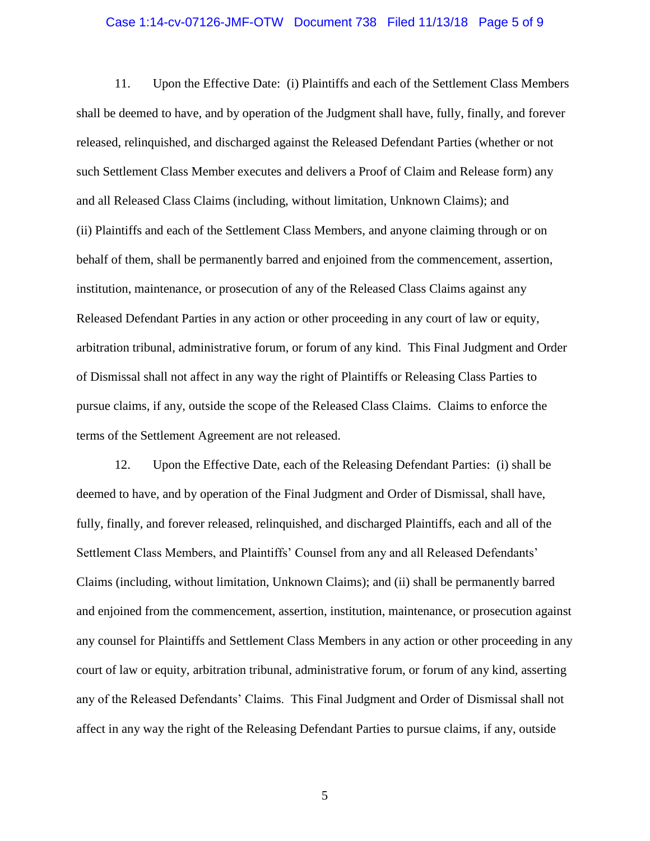#### Case 1:14-cv-07126-JMF-OTW Document 738 Filed 11/13/18 Page 5 of 9

11. Upon the Effective Date: (i) Plaintiffs and each of the Settlement Class Members shall be deemed to have, and by operation of the Judgment shall have, fully, finally, and forever released, relinquished, and discharged against the Released Defendant Parties (whether or not such Settlement Class Member executes and delivers a Proof of Claim and Release form) any and all Released Class Claims (including, without limitation, Unknown Claims); and (ii) Plaintiffs and each of the Settlement Class Members, and anyone claiming through or on behalf of them, shall be permanently barred and enjoined from the commencement, assertion, institution, maintenance, or prosecution of any of the Released Class Claims against any Released Defendant Parties in any action or other proceeding in any court of law or equity, arbitration tribunal, administrative forum, or forum of any kind. This Final Judgment and Order of Dismissal shall not affect in any way the right of Plaintiffs or Releasing Class Parties to pursue claims, if any, outside the scope of the Released Class Claims. Claims to enforce the terms of the Settlement Agreement are not released.

12. Upon the Effective Date, each of the Releasing Defendant Parties: (i) shall be deemed to have, and by operation of the Final Judgment and Order of Dismissal, shall have, fully, finally, and forever released, relinquished, and discharged Plaintiffs, each and all of the Settlement Class Members, and Plaintiffs' Counsel from any and all Released Defendants' Claims (including, without limitation, Unknown Claims); and (ii) shall be permanently barred and enjoined from the commencement, assertion, institution, maintenance, or prosecution against any counsel for Plaintiffs and Settlement Class Members in any action or other proceeding in any court of law or equity, arbitration tribunal, administrative forum, or forum of any kind, asserting any of the Released Defendants' Claims. This Final Judgment and Order of Dismissal shall not affect in any way the right of the Releasing Defendant Parties to pursue claims, if any, outside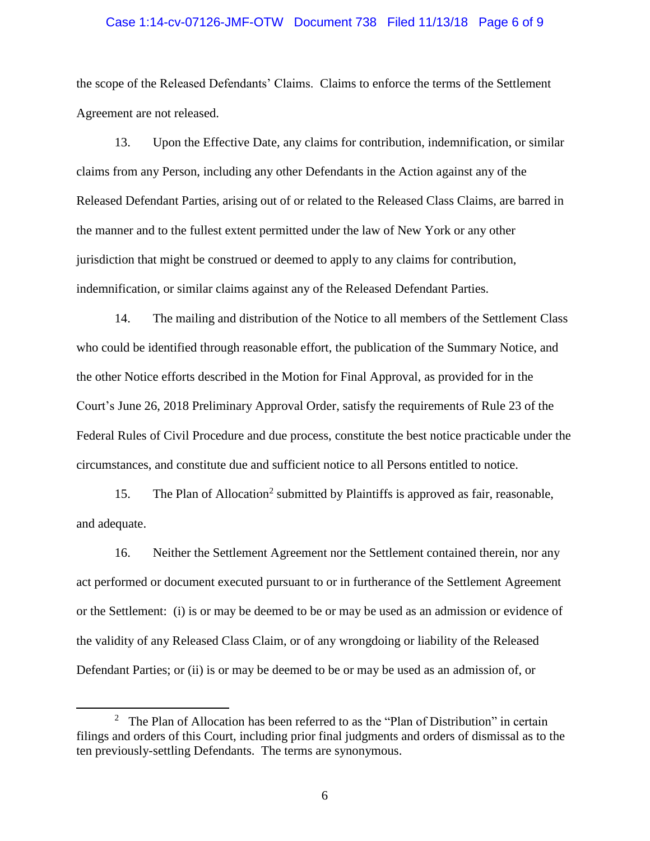#### Case 1:14-cv-07126-JMF-OTW Document 738 Filed 11/13/18 Page 6 of 9

the scope of the Released Defendants' Claims. Claims to enforce the terms of the Settlement Agreement are not released.

13. Upon the Effective Date, any claims for contribution, indemnification, or similar claims from any Person, including any other Defendants in the Action against any of the Released Defendant Parties, arising out of or related to the Released Class Claims, are barred in the manner and to the fullest extent permitted under the law of New York or any other jurisdiction that might be construed or deemed to apply to any claims for contribution, indemnification, or similar claims against any of the Released Defendant Parties.

14. The mailing and distribution of the Notice to all members of the Settlement Class who could be identified through reasonable effort, the publication of the Summary Notice, and the other Notice efforts described in the Motion for Final Approval, as provided for in the Court's June 26, 2018 Preliminary Approval Order, satisfy the requirements of Rule 23 of the Federal Rules of Civil Procedure and due process, constitute the best notice practicable under the circumstances, and constitute due and sufficient notice to all Persons entitled to notice.

15. The Plan of Allocation<sup>2</sup> submitted by Plaintiffs is approved as fair, reasonable, and adequate.

16. Neither the Settlement Agreement nor the Settlement contained therein, nor any act performed or document executed pursuant to or in furtherance of the Settlement Agreement or the Settlement: (i) is or may be deemed to be or may be used as an admission or evidence of the validity of any Released Class Claim, or of any wrongdoing or liability of the Released Defendant Parties; or (ii) is or may be deemed to be or may be used as an admission of, or

 $\overline{a}$ 

<sup>&</sup>lt;sup>2</sup> The Plan of Allocation has been referred to as the "Plan of Distribution" in certain filings and orders of this Court, including prior final judgments and orders of dismissal as to the ten previously-settling Defendants. The terms are synonymous.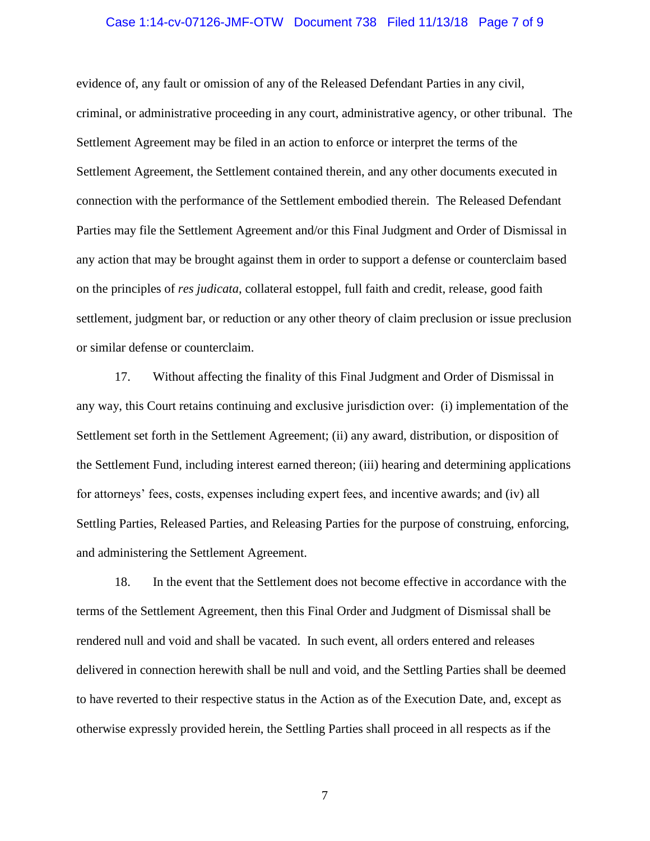#### Case 1:14-cv-07126-JMF-OTW Document 738 Filed 11/13/18 Page 7 of 9

evidence of, any fault or omission of any of the Released Defendant Parties in any civil, criminal, or administrative proceeding in any court, administrative agency, or other tribunal. The Settlement Agreement may be filed in an action to enforce or interpret the terms of the Settlement Agreement, the Settlement contained therein, and any other documents executed in connection with the performance of the Settlement embodied therein. The Released Defendant Parties may file the Settlement Agreement and/or this Final Judgment and Order of Dismissal in any action that may be brought against them in order to support a defense or counterclaim based on the principles of *res judicata*, collateral estoppel, full faith and credit, release, good faith settlement, judgment bar, or reduction or any other theory of claim preclusion or issue preclusion or similar defense or counterclaim.

17. Without affecting the finality of this Final Judgment and Order of Dismissal in any way, this Court retains continuing and exclusive jurisdiction over: (i) implementation of the Settlement set forth in the Settlement Agreement; (ii) any award, distribution, or disposition of the Settlement Fund, including interest earned thereon; (iii) hearing and determining applications for attorneys' fees, costs, expenses including expert fees, and incentive awards; and (iv) all Settling Parties, Released Parties, and Releasing Parties for the purpose of construing, enforcing, and administering the Settlement Agreement.

18. In the event that the Settlement does not become effective in accordance with the terms of the Settlement Agreement, then this Final Order and Judgment of Dismissal shall be rendered null and void and shall be vacated. In such event, all orders entered and releases delivered in connection herewith shall be null and void, and the Settling Parties shall be deemed to have reverted to their respective status in the Action as of the Execution Date, and, except as otherwise expressly provided herein, the Settling Parties shall proceed in all respects as if the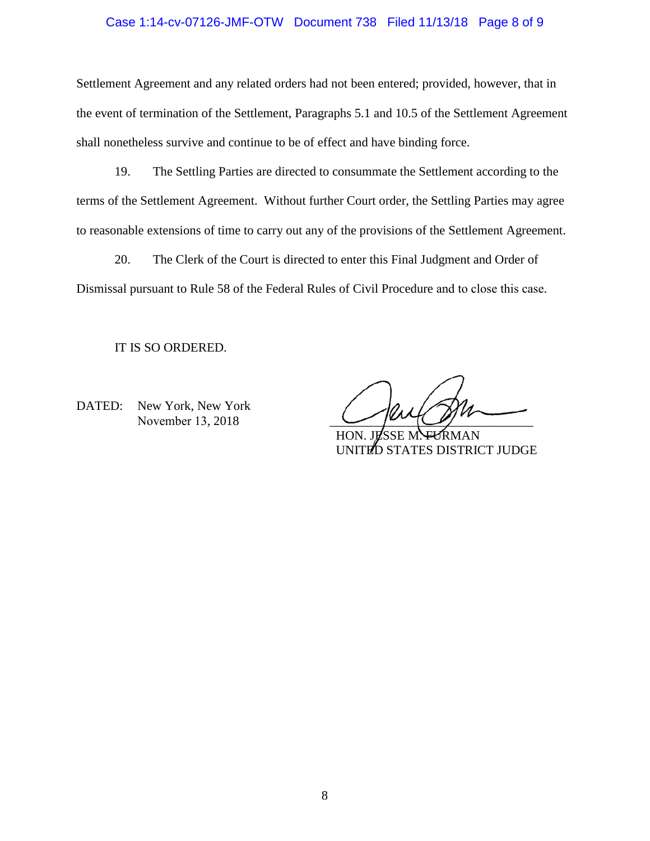### Case 1:14-cv-07126-JMF-OTW Document 738 Filed 11/13/18 Page 8 of 9

Settlement Agreement and any related orders had not been entered; provided, however, that in the event of termination of the Settlement, Paragraphs 5.1 and 10.5 of the Settlement Agreement shall nonetheless survive and continue to be of effect and have binding force.

19. The Settling Parties are directed to consummate the Settlement according to the terms of the Settlement Agreement. Without further Court order, the Settling Parties may agree to reasonable extensions of time to carry out any of the provisions of the Settlement Agreement.

20. The Clerk of the Court is directed to enter this Final Judgment and Order of Dismissal pursuant to Rule 58 of the Federal Rules of Civil Procedure and to close this case.

IT IS SO ORDERED.

DATED: New York, New York November 13, 2018

HON. JESSE M. FURMAN UNITED STATES DISTRICT JUDGE